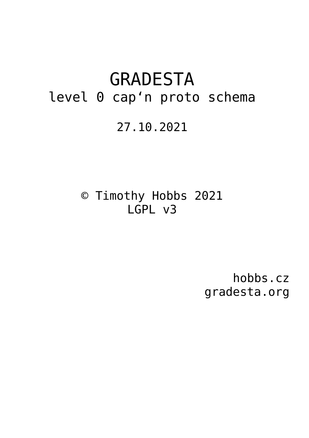# GRADESTA level 0 cap'n proto schema

# 27.10.2021

© Timothy Hobbs 2021 LGPL v3

> hobbs.cz gradesta.org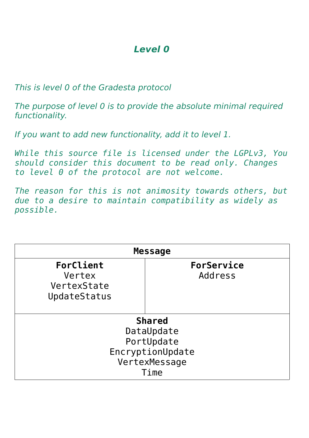### **Level 0**

This is level 0 of the Gradesta protocol

The purpose of level 0 is to provide the absolute minimal required functionality.

If you want to add new functionality, add it to level 1.

*While this source file is licensed under the LGPLv3, You should consider this document to be read only. Changes to level 0 of the protocol are not welcome.*

*The reason for this is not animosity towards others, but due to a desire to maintain compatibility as widely as possible.*

| <b>Message</b>                                     |                       |  |  |
|----------------------------------------------------|-----------------------|--|--|
| ForClient<br>Vertex<br>VertexState<br>UpdateStatus | ForService<br>Address |  |  |
| <b>Shared</b><br>DataUpdate<br>PortUpdate          |                       |  |  |
| EncryptionUpdate<br>VertexMessage<br>Time          |                       |  |  |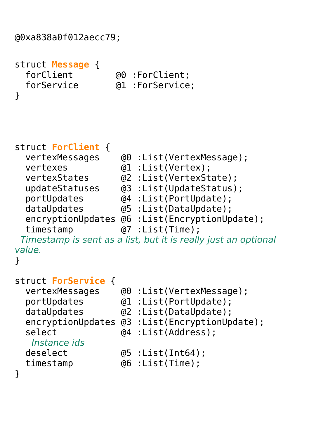```
@0xa838a0f012aecc79;
```

```
struct Message {
  forClient @0 :ForClient;
}
```
@1 :ForService:

struct **ForClient** {

| vertexMessages | @0 : List (VertexMessage);                    |
|----------------|-----------------------------------------------|
| vertexes       | @1 :List(Vertex);                             |
| vertexStates   | (@2 :List(VertexState);                       |
| updateStatuses | @3 : List(UpdateStatus);                      |
| portUpdates    | @4 : List (PortUpdate);                       |
| dataUpdates    | @5 : List (DataUpdate);                       |
|                | encryptionUpdates @6 :List(EncryptionUpdate); |
| timestamp      | $(07 : List(Time)$ ;                          |
|                |                                               |

 Timestamp is sent as a list, but it is really just an optional value.

```
}
```

| struct ForService { |  |   |
|---------------------|--|---|
| vertexMessages      |  | @ |

vertexMessages @0 :List(VertexMessage);<br>portUpdates @1 :List(PortUpdate); portUpdates @1 :List(PortUpdate); dataUpdates @2 :List(DataUpdate); encryptionUpdates @3 :List(EncryptionUpdate); select  $@4$  : List(Address);

```
Instance ids<br>deselect
```
- $(05 :List(Int64))$ ;
- timestamp @6 :List(Time);

}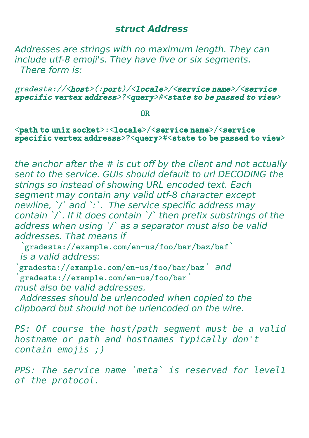#### **struct Address**

Addresses are strings with no maximum length. They can include utf-8 emoji's. They have five or six segments. There form is:

#### gradesta://<host>(:port)/<locale>/<service name>/<service specific vertex address>?<query>#<state to be passed to view>

**OR** Service of the state of the state of the state of the state of the state of the state of the state of the state of the state of the state of the state of the state of the state of the state of the state of the state o

#### <path to unix socket>:<locale>/<service name>/<service specific vertex addresss>?<query>#<state to be passed to view>

the anchor after the # is cut off by the client and not actually sent to the service. GUIs should default to url DECODING the strings so instead of showing URL encoded text. Each segment may contain any valid utf-8 character except newline, `/` and `:`. The service specific address may contain `/`. If it does contain `/` then prefix substrings of the address when using `/` as a separator must also be valid addresses. That means if

 `gradesta://example.com/en-us/foo/bar/baz/baf` is a valid address:

`gradesta://example.com/en-us/foo/bar/baz*` and `*gradesta://example.com/en-us/foo/bar` must also be valid addresses.

 Addresses should be urlencoded when copied to the clipboard but should not be urlencoded on the wire.

*PS: Of course the host/path segment must be a valid hostname or path and hostnames typically don't contain emojis ;)*

*PPS: The service name `meta` is reserved for level1 of the protocol.*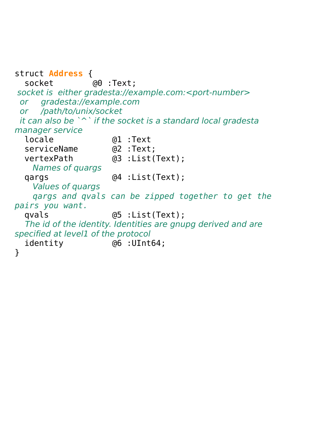struct **Address** { socket @0 :Text; socket is either gradesta://example.com:<port-number> or gradesta://example.com or /path/to/unix/socket it can also be  $\wedge$  if the socket is a standard local gradesta manager service locale @1 :Text serviceName @2 :Text; @3 :List(Text); Names of quargs qargs  $@4$  : List(Text); Values of quargs *qargs and qvals can be zipped together to get the pairs you want.* qvals @5 :List(Text); The id of the identity. Identities are gnupg derived and are specified at level1 of the protocol identity @6 :UInt64; }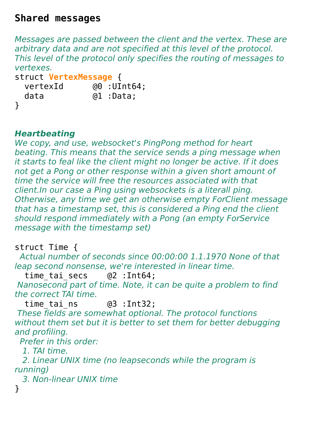### **Shared messages**

Messages are passed between the client and the vertex. These are arbitrary data and are not specified at this level of the protocol. This level of the protocol only specifies the routing of messages to vertexes.

```
struct VertexMessage {
  vertexId @0 :UInt64;
  data @1 :Data;
```

```
}
```
# **Heartbeating**

We copy, and use, websocket's PingPong method for heart beating. This means that the service sends a ping message when it starts to feal like the client might no longer be active. If it does not get a Pong or other response within a given short amount of time the service will free the resources associated with that client.In our case a Ping using websockets is a literall ping. Otherwise, any time we get an otherwise empty ForClient message that has a timestamp set, this is considered a Ping end the client should respond immediately with a Pong (an empty ForService message with the timestamp set)

struct Time {

 Actual number of seconds since 00:00:00 1.1.1970 None of that leap second nonsense, we're interested in linear time.

time tai secs @2 :Int64; Nanosecond part of time. Note, it can be quite a problem to find the correct TAI time.

time\_tai\_ns @3 :Int32;

 These fields are somewhat optional. The protocol functions without them set but it is better to set them for better debugging and profiling.

Prefer in this order:

1. TAI time.

 2. Linear UNIX time (no leapseconds while the program is running)

3. Non-linear UNIX time

}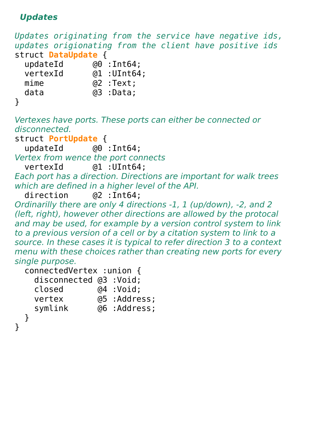### **Updates**

```
Updates originating from the service have negative ids, 
updates origionating from the client have positive ids
struct DataUpdate {
  updateId @0 :Int64;<br>vertexId @1 :UInt64
                  @1 : UInt64;
  mime @2:Text:
   data @3 :Data;
}
Vertexes have ports. These ports can either be connected or 
disconnected.
struct PortUpdate {
   updateId @0 :Int64;
Vertex from wence the port connects
   vertexId @1 :UInt64;
Each port has a direction. Directions are important for walk trees 
which are defined in a higher level of the API.
   direction @2 :Int64;
Ordinarilly there are only 4 directions -1, 1 (up/down), -2, and 2 
(left, right), however other directions are allowed by the protocal 
and may be used, for example by a version control system to link 
to a previous version of a cell or by a citation system to link to a 
source. In these cases it is typical to refer direction 3 to a context 
menu with these choices rather than creating new ports for every 
single purpose.
   connectedVertex :union {
     disconnected @3 :Void;
     closed @4 :Void;
    vertex @5 :Address;<br>symlink @6 :Address;
                   @6 :Address:
   }
}
```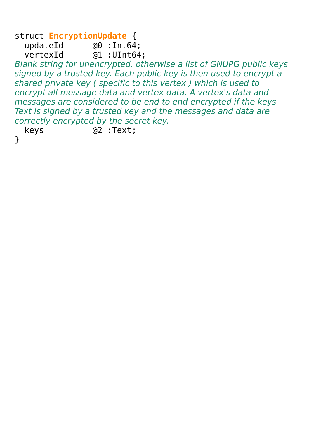struct **EncryptionUpdate** { updateId  $@0$ :Int64;<br>vertexId  $@1$ :UInt64  $@1$  :UInt $64$ :

Blank string for unencrypted, otherwise a list of GNUPG public keys signed by a trusted key. Each public key is then used to encrypt a shared private key ( specific to this vertex ) which is used to encrypt all message data and vertex data. A vertex's data and messages are considered to be end to end encrypted if the keys Text is signed by a trusted key and the messages and data are correctly encrypted by the secret key.

keys @2 :Text;

}